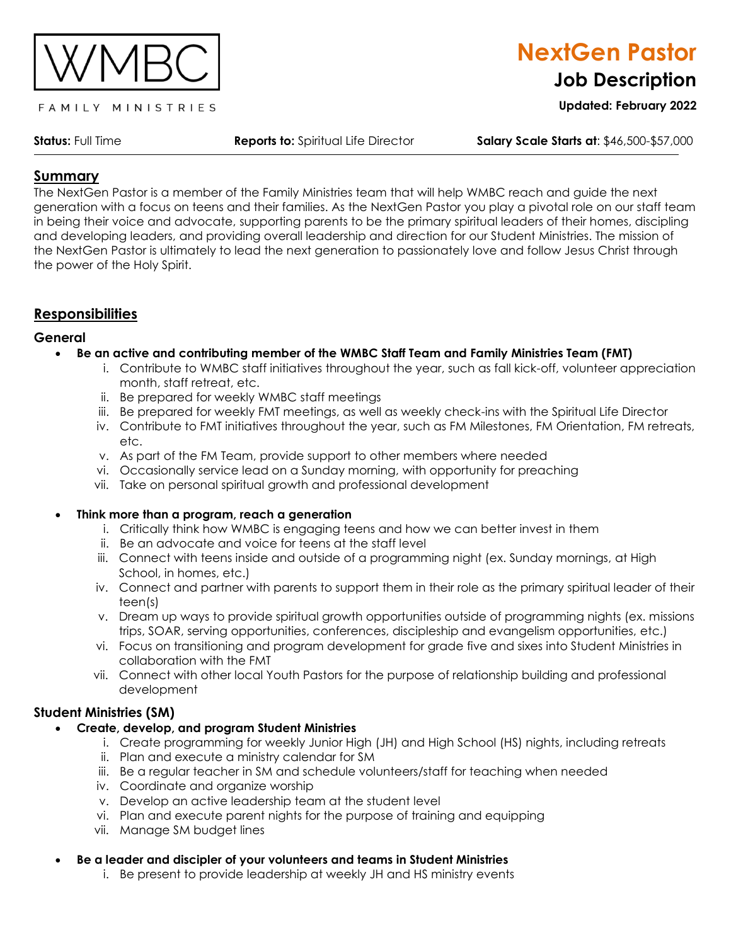

#### FAMILY MINISTRIES

**Status:** Full Time **Reports to:** Spiritual Life Director **Salary Scale Starts at**: \$46,500-\$57,000

**NextGen Pastor**

**Job Description**

**Updated: February 2022**

## **Summary**

The NextGen Pastor is a member of the Family Ministries team that will help WMBC reach and guide the next generation with a focus on teens and their families. As the NextGen Pastor you play a pivotal role on our staff team in being their voice and advocate, supporting parents to be the primary spiritual leaders of their homes, discipling and developing leaders, and providing overall leadership and direction for our Student Ministries. The mission of the NextGen Pastor is ultimately to lead the next generation to passionately love and follow Jesus Christ through the power of the Holy Spirit.

## **Responsibilities**

### **General**

### • **Be an active and contributing member of the WMBC Staff Team and Family Ministries Team (FMT)**

- i. Contribute to WMBC staff initiatives throughout the year, such as fall kick-off, volunteer appreciation month, staff retreat, etc.
- ii. Be prepared for weekly WMBC staff meetings
- iii. Be prepared for weekly FMT meetings, as well as weekly check-ins with the Spiritual Life Director
- iv. Contribute to FMT initiatives throughout the year, such as FM Milestones, FM Orientation, FM retreats, etc.
- v. As part of the FM Team, provide support to other members where needed
- vi. Occasionally service lead on a Sunday morning, with opportunity for preaching
- vii. Take on personal spiritual growth and professional development

### • **Think more than a program, reach a generation**

- i. Critically think how WMBC is engaging teens and how we can better invest in them
- ii. Be an advocate and voice for teens at the staff level
- iii. Connect with teens inside and outside of a programming night (ex. Sunday mornings, at High School, in homes, etc.)
- iv. Connect and partner with parents to support them in their role as the primary spiritual leader of their teen(s)
- v. Dream up ways to provide spiritual growth opportunities outside of programming nights (ex. missions trips, SOAR, serving opportunities, conferences, discipleship and evangelism opportunities, etc.)
- vi. Focus on transitioning and program development for grade five and sixes into Student Ministries in collaboration with the FMT
- vii. Connect with other local Youth Pastors for the purpose of relationship building and professional development

## **Student Ministries (SM)**

- **Create, develop, and program Student Ministries**
	- i. Create programming for weekly Junior High (JH) and High School (HS) nights, including retreats
	- ii. Plan and execute a ministry calendar for SM
	- iii. Be a regular teacher in SM and schedule volunteers/staff for teaching when needed
	- iv. Coordinate and organize worship
	- v. Develop an active leadership team at the student level
	- vi. Plan and execute parent nights for the purpose of training and equipping
	- vii. Manage SM budget lines
- **Be a leader and discipler of your volunteers and teams in Student Ministries**
	- i. Be present to provide leadership at weekly JH and HS ministry events